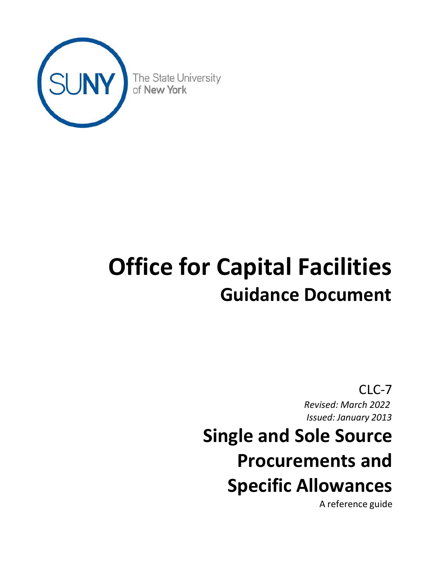

# **Office for Capital Facilities Guidance Document**

CLC-7 *Revised: March 2022 Issued: January 2013* **Single and Sole Source Procurements and Specific Allowances**

A reference guide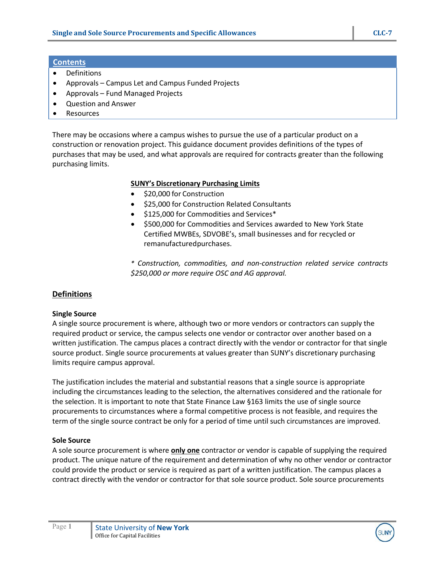## **Contents**

- Definitions
- Approvals Campus Let and Campus Funded Projects
- Approvals Fund Managed Projects
- Question and Answer
- Resources

There may be occasions where a campus wishes to pursue the use of a particular product on a construction or renovation project. This guidance document provides definitions of the types of purchases that may be used, and what approvals are required for contracts greater than the following purchasing limits.

# **SUNY's Discretionary Purchasing Limits**

- \$20,000 for Construction
- \$25,000 for Construction Related Consultants
- \$125,000 for Commodities and Services\*
- \$500,000 for Commodities and Services awarded to New York State Certified MWBEs, SDVOBE's, small businesses and for recycled or remanufacturedpurchases.

*\* Construction, commodities, and non-construction related service contracts \$250,000 or more require OSC and AG approval.* 

# **Definitions**

## **Single Source**

A single source procurement is where, although two or more vendors or contractors can supply the required product or service, the campus selects one vendor or contractor over another based on a written justification. The campus places a contract directly with the vendor or contractor for that single source product. Single source procurements at values greater than SUNY's discretionary purchasing limits require campus approval.

The justification includes the material and substantial reasons that a single source is appropriate including the circumstances leading to the selection, the alternatives considered and the rationale for the selection. It is important to note that State Finance Law §163 limits the use of single source procurements to circumstances where a formal competitive process is not feasible, and requires the term of the single source contract be only for a period of time until such circumstances are improved.

## **Sole Source**

A sole source procurement is where **only one** contractor or vendor is capable of supplying the required product. The unique nature of the requirement and determination of why no other vendor or contractor could provide the product or service is required as part of a written justification. The campus places a contract directly with the vendor or contractor for that sole source product. Sole source procurements

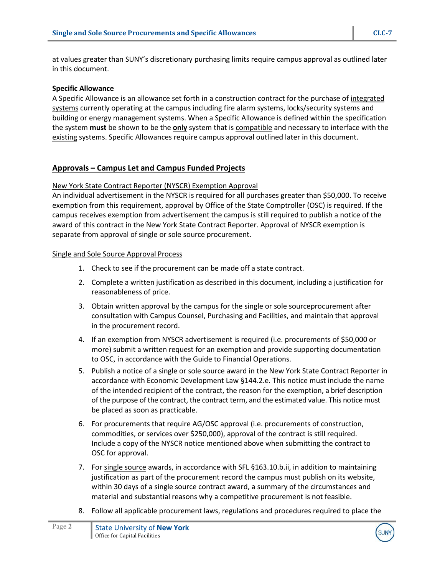at values greater than SUNY's discretionary purchasing limits require campus approval as outlined later in this document.

### **Specific Allowance**

A Specific Allowance is an allowance set forth in a construction contract for the purchase of integrated systems currently operating at the campus including fire alarm systems, locks/security systems and building or energy management systems. When a Specific Allowance is defined within the specification the system **must** be shown to be the **only** system that is compatible and necessary to interface with the existing systems. Specific Allowances require campus approval outlined later in this document.

## **Approvals – Campus Let and Campus Funded Projects**

#### New York State Contract Reporter (NYSCR) Exemption Approval

An individual advertisement in the NYSCR is required for all purchases greater than \$50,000. To receive exemption from this requirement, approval by Office of the State Comptroller (OSC) is required. If the campus receives exemption from advertisement the campus is still required to publish a notice of the award of this contract in the New York State Contract Reporter. Approval of NYSCR exemption is separate from approval of single or sole source procurement.

#### Single and Sole Source Approval Process

- 1. Check to see if the procurement can be made off a state contract.
- 2. Complete a written justification as described in this document, including a justification for reasonableness of price.
- 3. Obtain written approval by the campus for the single or sole sourceprocurement after consultation with Campus Counsel, Purchasing and Facilities, and maintain that approval in the procurement record.
- 4. If an exemption from NYSCR advertisement is required (i.e. procurements of \$50,000 or more) submit a written request for an exemption and provide supporting documentation to OSC, in accordance with the Guide to Financial Operations.
- 5. Publish a notice of a single or sole source award in the New York State Contract Reporter in accordance with Economic Development Law §144.2.e. This notice must include the name of the intended recipient of the contract, the reason for the exemption, a brief description of the purpose of the contract, the contract term, and the estimated value. This notice must be placed as soon as practicable.
- 6. For procurements that require AG/OSC approval (i.e. procurements of construction, commodities, or services over \$250,000), approval of the contract is still required. Include a copy of the NYSCR notice mentioned above when submitting the contract to OSC for approval.
- 7. For single source awards, in accordance with SFL §163.10.b.ii, in addition to maintaining justification as part of the procurement record the campus must publish on its website, within 30 days of a single source contract award, a summary of the circumstances and material and substantial reasons why a competitive procurement is not feasible.
- 8. Follow all applicable procurement laws, regulations and procedures required to place the

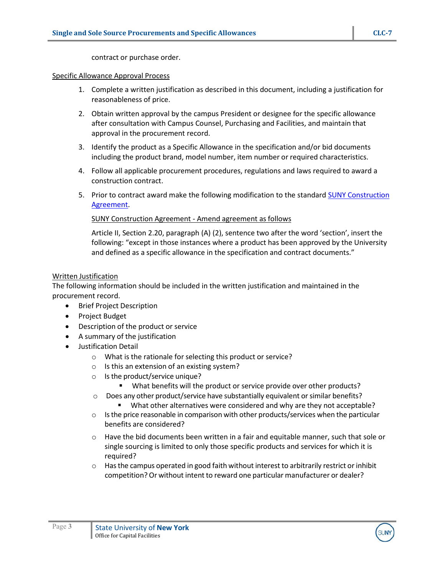contract or purchase order.

### Specific Allowance Approval Process

- 1. Complete a written justification as described in this document, including a justification for reasonableness of price.
- 2. Obtain written approval by the campus President or designee for the specific allowance after consultation with Campus Counsel, Purchasing and Facilities, and maintain that approval in the procurement record.
- 3. Identify the product as a Specific Allowance in the specification and/or bid documents including the product brand, model number, item number or required characteristics.
- 4. Follow all applicable procurement procedures, regulations and laws required to award a construction contract.
- 5. Prior to contract award make the following modification to the standard [SUNY Construction](https://www.suny.edu/sunypp/lookup.cfm?lookup_id=513) [Agreement.](https://www.suny.edu/sunypp/lookup.cfm?lookup_id=513)

## SUNY Construction Agreement - Amend agreement as follows

Article II, Section 2.20, paragraph (A) (2), sentence two after the word 'section', insert the following: "except in those instances where a product has been approved by the University and defined as a specific allowance in the specification and contract documents."

## Written Justification

The following information should be included in the written justification and maintained in the procurement record.

- Brief Project Description
- Project Budget
- Description of the product or service
- A summary of the justification
- Justification Detail
	- o What is the rationale for selecting this product or service?
	- o Is this an extension of an existing system?
	- $\circ$  Is the product/service unique?
		- What benefits will the product or service provide over other products?
	- $\circ$  Does any other product/service have substantially equivalent or similar benefits?
		- What other alternatives were considered and why are they not acceptable?
	- $\circ$  Is the price reasonable in comparison with other products/services when the particular benefits are considered?
	- $\circ$  Have the bid documents been written in a fair and equitable manner, such that sole or single sourcing is limited to only those specific products and services for which it is required?
	- $\circ$  Has the campus operated in good faith without interest to arbitrarily restrict or inhibit competition? Or without intent to reward one particular manufacturer or dealer?

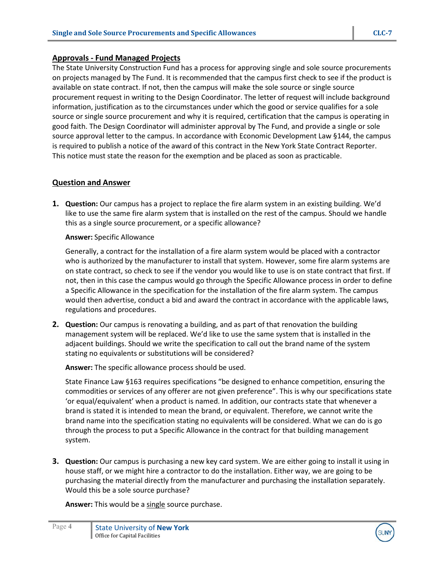## **Approvals - Fund Managed Projects**

The State University Construction Fund has a process for approving single and sole source procurements on projects managed by The Fund. It is recommended that the campus first check to see if the product is available on state contract. If not, then the campus will make the sole source or single source procurement request in writing to the Design Coordinator. The letter of request will include background information, justification as to the circumstances under which the good or service qualifies for a sole source or single source procurement and why it is required, certification that the campus is operating in good faith. The Design Coordinator will administer approval by The Fund, and provide a single or sole source approval letter to the campus. In accordance with Economic Development Law §144, the campus is required to publish a notice of the award of this contract in the New York State Contract Reporter. This notice must state the reason for the exemption and be placed as soon as practicable.

## **Question and Answer**

**1. Question:** Our campus has a project to replace the fire alarm system in an existing building. We'd like to use the same fire alarm system that is installed on the rest of the campus. Should we handle this as a single source procurement, or a specific allowance?

#### **Answer:** Specific Allowance

Generally, a contract for the installation of a fire alarm system would be placed with a contractor who is authorized by the manufacturer to install that system. However, some fire alarm systems are on state contract, so check to see if the vendor you would like to use is on state contract that first. If not, then in this case the campus would go through the Specific Allowance process in order to define a Specific Allowance in the specification for the installation of the fire alarm system. The campus would then advertise, conduct a bid and award the contract in accordance with the applicable laws, regulations and procedures.

**2. Question:** Our campus is renovating a building, and as part of that renovation the building management system will be replaced. We'd like to use the same system that is installed in the adjacent buildings. Should we write the specification to call out the brand name of the system stating no equivalents or substitutions will be considered?

**Answer:** The specific allowance process should be used.

State Finance Law §163 requires specifications "be designed to enhance competition, ensuring the commodities or services of any offerer are not given preference". This is why our specifications state 'or equal/equivalent' when a product is named. In addition, our contracts state that whenever a brand is stated it is intended to mean the brand, or equivalent. Therefore, we cannot write the brand name into the specification stating no equivalents will be considered. What we can do is go through the process to put a Specific Allowance in the contract for that building management system.

**3. Question:** Our campus is purchasing a new key card system. We are either going to install it using in house staff, or we might hire a contractor to do the installation. Either way, we are going to be purchasing the material directly from the manufacturer and purchasing the installation separately. Would this be a sole source purchase?

**Answer:** This would be a single source purchase.